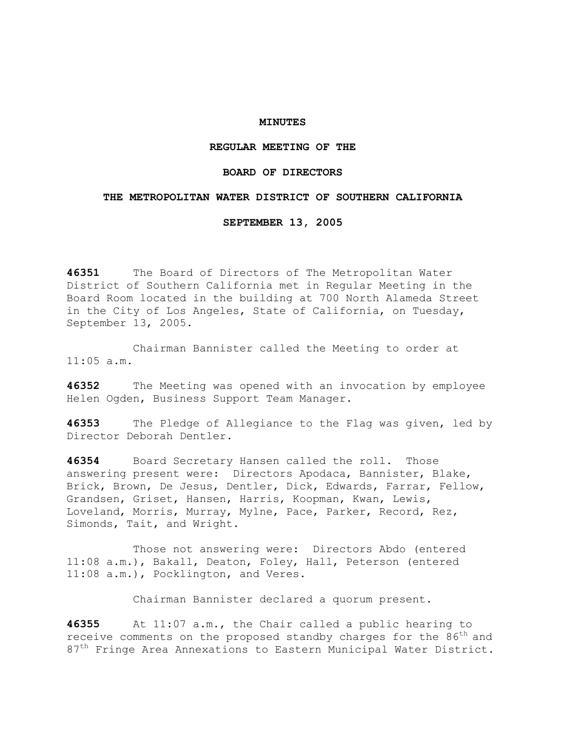### **MINUTES**

### **REGULAR MEETING OF THE**

## **BOARD OF DIRECTORS**

### **THE METROPOLITAN WATER DISTRICT OF SOUTHERN CALIFORNIA**

**SEPTEMBER 13, 2005** 

**46351** The Board of Directors of The Metropolitan Water District of Southern California met in Regular Meeting in the Board Room located in the building at 700 North Alameda Street in the City of Los Angeles, State of California, on Tuesday, September 13, 2005.

 Chairman Bannister called the Meeting to order at 11:05 a.m.

**46352** The Meeting was opened with an invocation by employee Helen Ogden, Business Support Team Manager.

**46353** The Pledge of Allegiance to the Flag was given, led by Director Deborah Dentler.

**46354** Board Secretary Hansen called the roll. Those answering present were: Directors Apodaca, Bannister, Blake, Brick, Brown, De Jesus, Dentler, Dick, Edwards, Farrar, Fellow, Grandsen, Griset, Hansen, Harris, Koopman, Kwan, Lewis, Loveland, Morris, Murray, Mylne, Pace, Parker, Record, Rez, Simonds, Tait, and Wright.

 Those not answering were: Directors Abdo (entered 11:08 a.m.), Bakall, Deaton, Foley, Hall, Peterson (entered 11:08 a.m.), Pocklington, and Veres.

Chairman Bannister declared a quorum present.

**46355** At 11:07 a.m., the Chair called a public hearing to receive comments on the proposed standby charges for the 86<sup>th</sup> and 87<sup>th</sup> Fringe Area Annexations to Eastern Municipal Water District.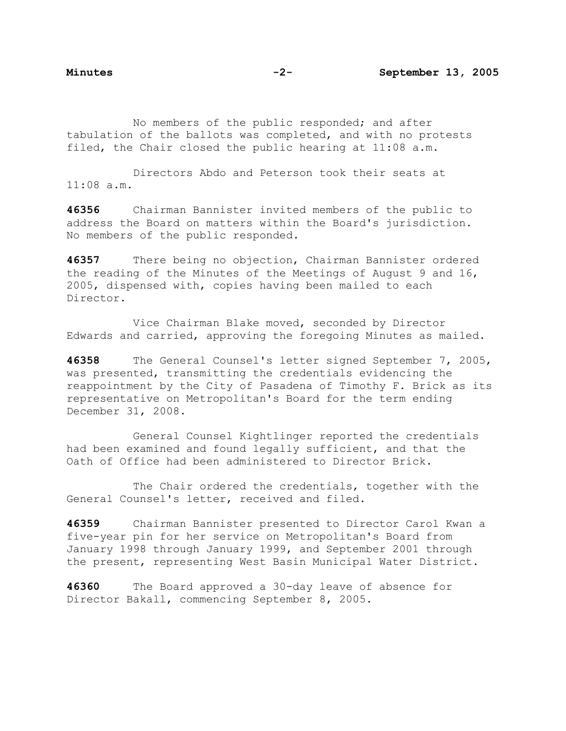No members of the public responded; and after tabulation of the ballots was completed, and with no protests filed, the Chair closed the public hearing at 11:08 a.m.

 Directors Abdo and Peterson took their seats at 11:08 a.m.

**46356** Chairman Bannister invited members of the public to address the Board on matters within the Board's jurisdiction. No members of the public responded.

**46357** There being no objection, Chairman Bannister ordered the reading of the Minutes of the Meetings of August 9 and 16, 2005, dispensed with, copies having been mailed to each Director.

 Vice Chairman Blake moved, seconded by Director Edwards and carried, approving the foregoing Minutes as mailed.

**46358** The General Counsel's letter signed September 7, 2005, was presented, transmitting the credentials evidencing the reappointment by the City of Pasadena of Timothy F. Brick as its representative on Metropolitan's Board for the term ending December 31, 2008.

 General Counsel Kightlinger reported the credentials had been examined and found legally sufficient, and that the Oath of Office had been administered to Director Brick.

 The Chair ordered the credentials, together with the General Counsel's letter, received and filed.

**46359** Chairman Bannister presented to Director Carol Kwan a five-year pin for her service on Metropolitan's Board from January 1998 through January 1999, and September 2001 through the present, representing West Basin Municipal Water District.

**46360** The Board approved a 30-day leave of absence for Director Bakall, commencing September 8, 2005.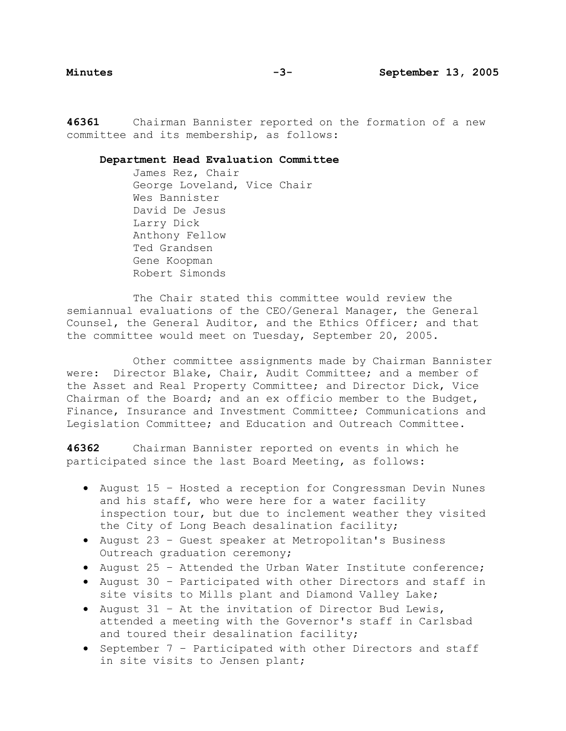**46361** Chairman Bannister reported on the formation of a new committee and its membership, as follows:

### **Department Head Evaluation Committee**

 James Rez, Chair George Loveland, Vice Chair Wes Bannister David De Jesus Larry Dick Anthony Fellow Ted Grandsen Gene Koopman Robert Simonds

 The Chair stated this committee would review the semiannual evaluations of the CEO/General Manager, the General Counsel, the General Auditor, and the Ethics Officer; and that the committee would meet on Tuesday, September 20, 2005.

 Other committee assignments made by Chairman Bannister were: Director Blake, Chair, Audit Committee; and a member of the Asset and Real Property Committee; and Director Dick, Vice Chairman of the Board; and an ex officio member to the Budget, Finance, Insurance and Investment Committee; Communications and Legislation Committee; and Education and Outreach Committee.

**46362** Chairman Bannister reported on events in which he participated since the last Board Meeting, as follows:

- August 15 Hosted a reception for Congressman Devin Nunes and his staff, who were here for a water facility inspection tour, but due to inclement weather they visited the City of Long Beach desalination facility;
- August 23 Guest speaker at Metropolitan's Business Outreach graduation ceremony;
- August 25 Attended the Urban Water Institute conference;
- August 30 Participated with other Directors and staff in site visits to Mills plant and Diamond Valley Lake;
- August 31 At the invitation of Director Bud Lewis, attended a meeting with the Governor's staff in Carlsbad and toured their desalination facility;
- September 7 Participated with other Directors and staff in site visits to Jensen plant;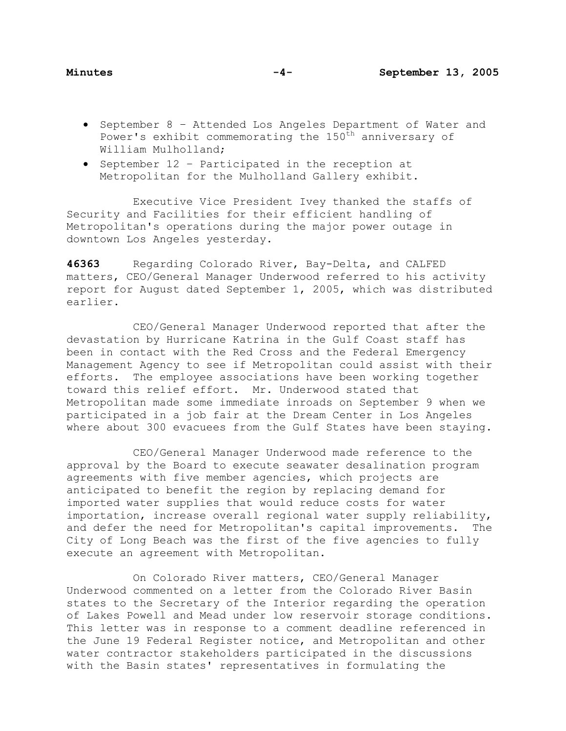- September 8 Attended Los Angeles Department of Water and Power's exhibit commemorating the  $150<sup>th</sup>$  anniversary of William Mulholland;
- September 12 Participated in the reception at Metropolitan for the Mulholland Gallery exhibit.

 Executive Vice President Ivey thanked the staffs of Security and Facilities for their efficient handling of Metropolitan's operations during the major power outage in downtown Los Angeles yesterday.

**46363** Regarding Colorado River, Bay-Delta, and CALFED matters, CEO/General Manager Underwood referred to his activity report for August dated September 1, 2005, which was distributed earlier.

 CEO/General Manager Underwood reported that after the devastation by Hurricane Katrina in the Gulf Coast staff has been in contact with the Red Cross and the Federal Emergency Management Agency to see if Metropolitan could assist with their efforts. The employee associations have been working together toward this relief effort. Mr. Underwood stated that Metropolitan made some immediate inroads on September 9 when we participated in a job fair at the Dream Center in Los Angeles where about 300 evacuees from the Gulf States have been staying.

 CEO/General Manager Underwood made reference to the approval by the Board to execute seawater desalination program agreements with five member agencies, which projects are anticipated to benefit the region by replacing demand for imported water supplies that would reduce costs for water importation, increase overall regional water supply reliability, and defer the need for Metropolitan's capital improvements. The City of Long Beach was the first of the five agencies to fully execute an agreement with Metropolitan.

 On Colorado River matters, CEO/General Manager Underwood commented on a letter from the Colorado River Basin states to the Secretary of the Interior regarding the operation of Lakes Powell and Mead under low reservoir storage conditions. This letter was in response to a comment deadline referenced in the June 19 Federal Register notice, and Metropolitan and other water contractor stakeholders participated in the discussions with the Basin states' representatives in formulating the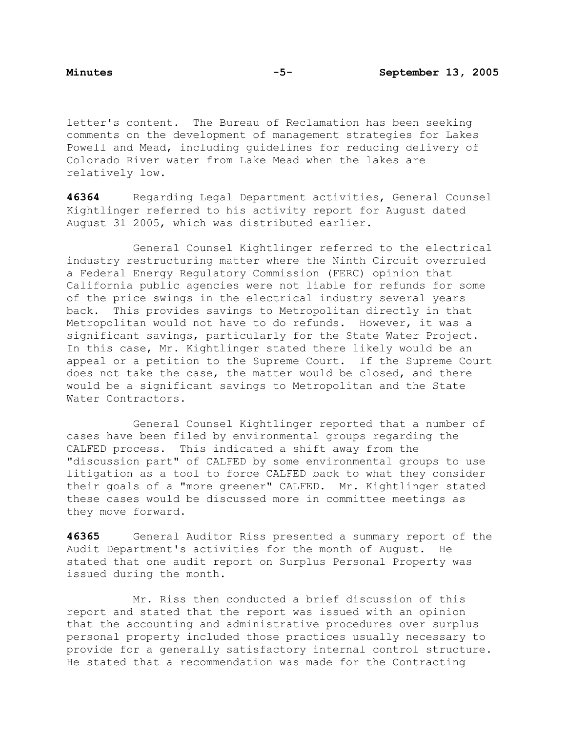letter's content. The Bureau of Reclamation has been seeking comments on the development of management strategies for Lakes Powell and Mead, including guidelines for reducing delivery of Colorado River water from Lake Mead when the lakes are relatively low.

**46364** Regarding Legal Department activities, General Counsel Kightlinger referred to his activity report for August dated August 31 2005, which was distributed earlier.

 General Counsel Kightlinger referred to the electrical industry restructuring matter where the Ninth Circuit overruled a Federal Energy Regulatory Commission (FERC) opinion that California public agencies were not liable for refunds for some of the price swings in the electrical industry several years back. This provides savings to Metropolitan directly in that Metropolitan would not have to do refunds. However, it was a significant savings, particularly for the State Water Project. In this case, Mr. Kightlinger stated there likely would be an appeal or a petition to the Supreme Court. If the Supreme Court does not take the case, the matter would be closed, and there would be a significant savings to Metropolitan and the State Water Contractors.

 General Counsel Kightlinger reported that a number of cases have been filed by environmental groups regarding the CALFED process. This indicated a shift away from the "discussion part" of CALFED by some environmental groups to use litigation as a tool to force CALFED back to what they consider their goals of a "more greener" CALFED. Mr. Kightlinger stated these cases would be discussed more in committee meetings as they move forward.

**46365** General Auditor Riss presented a summary report of the Audit Department's activities for the month of August. He stated that one audit report on Surplus Personal Property was issued during the month.

 Mr. Riss then conducted a brief discussion of this report and stated that the report was issued with an opinion that the accounting and administrative procedures over surplus personal property included those practices usually necessary to provide for a generally satisfactory internal control structure. He stated that a recommendation was made for the Contracting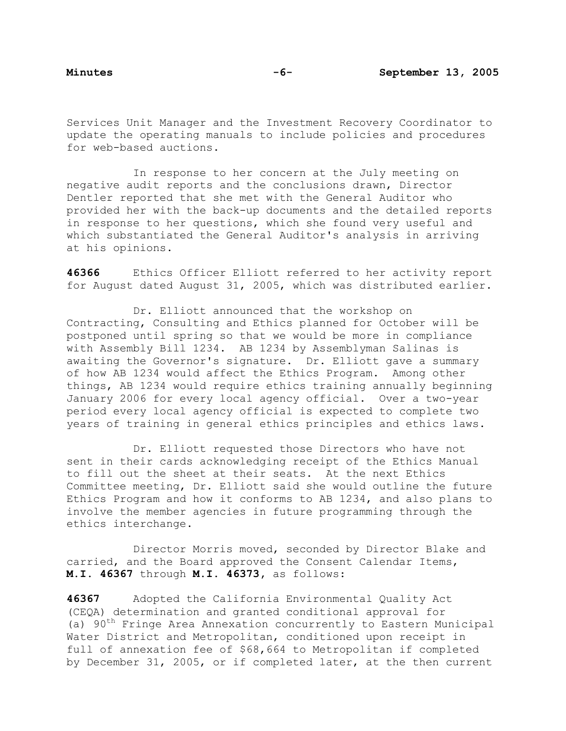Services Unit Manager and the Investment Recovery Coordinator to update the operating manuals to include policies and procedures for web-based auctions.

 In response to her concern at the July meeting on negative audit reports and the conclusions drawn, Director Dentler reported that she met with the General Auditor who provided her with the back-up documents and the detailed reports in response to her questions, which she found very useful and which substantiated the General Auditor's analysis in arriving at his opinions.

**46366** Ethics Officer Elliott referred to her activity report for August dated August 31, 2005, which was distributed earlier.

 Dr. Elliott announced that the workshop on Contracting, Consulting and Ethics planned for October will be postponed until spring so that we would be more in compliance with Assembly Bill 1234. AB 1234 by Assemblyman Salinas is awaiting the Governor's signature. Dr. Elliott gave a summary of how AB 1234 would affect the Ethics Program. Among other things, AB 1234 would require ethics training annually beginning January 2006 for every local agency official. Over a two-year period every local agency official is expected to complete two years of training in general ethics principles and ethics laws.

 Dr. Elliott requested those Directors who have not sent in their cards acknowledging receipt of the Ethics Manual to fill out the sheet at their seats. At the next Ethics Committee meeting, Dr. Elliott said she would outline the future Ethics Program and how it conforms to AB 1234, and also plans to involve the member agencies in future programming through the ethics interchange.

 Director Morris moved, seconded by Director Blake and carried, and the Board approved the Consent Calendar Items, **M.I. 46367** through **M.I. 46373,** as follows:

**46367** Adopted the California Environmental Quality Act (CEQA) determination and granted conditional approval for (a) 90<sup>th</sup> Fringe Area Annexation concurrently to Eastern Municipal Water District and Metropolitan, conditioned upon receipt in full of annexation fee of \$68,664 to Metropolitan if completed by December 31, 2005, or if completed later, at the then current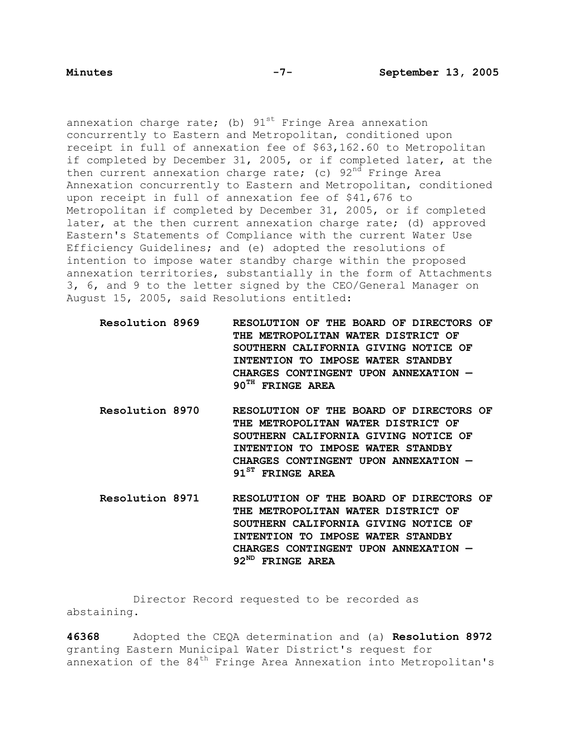annexation charge rate; (b)  $91^{st}$  Fringe Area annexation concurrently to Eastern and Metropolitan, conditioned upon receipt in full of annexation fee of \$63,162.60 to Metropolitan if completed by December 31, 2005, or if completed later, at the then current annexation charge rate; (c)  $92<sup>nd</sup>$  Fringe Area Annexation concurrently to Eastern and Metropolitan, conditioned upon receipt in full of annexation fee of \$41,676 to Metropolitan if completed by December 31, 2005, or if completed later, at the then current annexation charge rate; (d) approved Eastern's Statements of Compliance with the current Water Use Efficiency Guidelines; and (e) adopted the resolutions of intention to impose water standby charge within the proposed annexation territories, substantially in the form of Attachments 3, 6, and 9 to the letter signed by the CEO/General Manager on August 15, 2005, said Resolutions entitled:

**Resolution 8969 RESOLUTION OF THE BOARD OF DIRECTORS OF THE METROPOLITAN WATER DISTRICT OF SOUTHERN CALIFORNIA GIVING NOTICE OF INTENTION TO IMPOSE WATER STANDBY CHARGES CONTINGENT UPON ANNEXATION — 90TH FRINGE AREA** 

- **Resolution 8970 RESOLUTION OF THE BOARD OF DIRECTORS OF THE METROPOLITAN WATER DISTRICT OF SOUTHERN CALIFORNIA GIVING NOTICE OF INTENTION TO IMPOSE WATER STANDBY CHARGES CONTINGENT UPON ANNEXATION — 91ST FRINGE AREA**
- **Resolution 8971 RESOLUTION OF THE BOARD OF DIRECTORS OF THE METROPOLITAN WATER DISTRICT OF SOUTHERN CALIFORNIA GIVING NOTICE OF INTENTION TO IMPOSE WATER STANDBY CHARGES CONTINGENT UPON ANNEXATION — 92ND FRINGE AREA**

 Director Record requested to be recorded as abstaining.

**46368** Adopted the CEQA determination and (a) **Resolution 8972** granting Eastern Municipal Water District's request for annexation of the 84th Fringe Area Annexation into Metropolitan's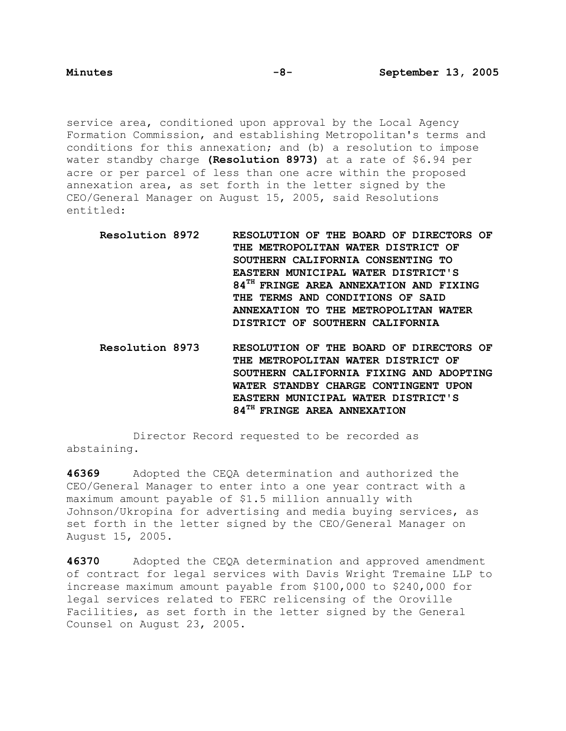service area, conditioned upon approval by the Local Agency Formation Commission, and establishing Metropolitan's terms and conditions for this annexation; and (b) a resolution to impose water standby charge **(Resolution 8973)** at a rate of \$6.94 per acre or per parcel of less than one acre within the proposed annexation area, as set forth in the letter signed by the CEO/General Manager on August 15, 2005, said Resolutions entitled:

- **Resolution 8972 RESOLUTION OF THE BOARD OF DIRECTORS OF THE METROPOLITAN WATER DISTRICT OF SOUTHERN CALIFORNIA CONSENTING TO EASTERN MUNICIPAL WATER DISTRICT'S 84TH FRINGE AREA ANNEXATION AND FIXING THE TERMS AND CONDITIONS OF SAID ANNEXATION TO THE METROPOLITAN WATER DISTRICT OF SOUTHERN CALIFORNIA**
- **Resolution 8973 RESOLUTION OF THE BOARD OF DIRECTORS OF THE METROPOLITAN WATER DISTRICT OF SOUTHERN CALIFORNIA FIXING AND ADOPTING WATER STANDBY CHARGE CONTINGENT UPON EASTERN MUNICIPAL WATER DISTRICT'S 84TH FRINGE AREA ANNEXATION**

 Director Record requested to be recorded as abstaining.

**46369** Adopted the CEQA determination and authorized the CEO/General Manager to enter into a one year contract with a maximum amount payable of \$1.5 million annually with Johnson/Ukropina for advertising and media buying services, as set forth in the letter signed by the CEO/General Manager on August 15, 2005.

**46370** Adopted the CEQA determination and approved amendment of contract for legal services with Davis Wright Tremaine LLP to increase maximum amount payable from \$100,000 to \$240,000 for legal services related to FERC relicensing of the Oroville Facilities, as set forth in the letter signed by the General Counsel on August 23, 2005.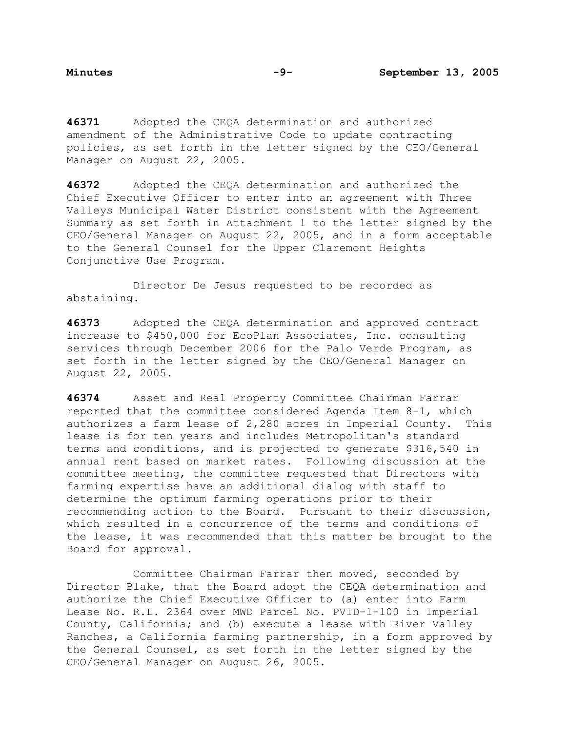**46371** Adopted the CEQA determination and authorized amendment of the Administrative Code to update contracting policies, as set forth in the letter signed by the CEO/General Manager on August 22, 2005.

**46372** Adopted the CEQA determination and authorized the Chief Executive Officer to enter into an agreement with Three Valleys Municipal Water District consistent with the Agreement Summary as set forth in Attachment 1 to the letter signed by the CEO/General Manager on August 22, 2005, and in a form acceptable to the General Counsel for the Upper Claremont Heights Conjunctive Use Program.

 Director De Jesus requested to be recorded as abstaining.

**46373** Adopted the CEQA determination and approved contract increase to \$450,000 for EcoPlan Associates, Inc. consulting services through December 2006 for the Palo Verde Program, as set forth in the letter signed by the CEO/General Manager on August 22, 2005.

**46374** Asset and Real Property Committee Chairman Farrar reported that the committee considered Agenda Item 8-1, which authorizes a farm lease of 2,280 acres in Imperial County. This lease is for ten years and includes Metropolitan's standard terms and conditions, and is projected to generate \$316,540 in annual rent based on market rates. Following discussion at the committee meeting, the committee requested that Directors with farming expertise have an additional dialog with staff to determine the optimum farming operations prior to their recommending action to the Board. Pursuant to their discussion, which resulted in a concurrence of the terms and conditions of the lease, it was recommended that this matter be brought to the Board for approval.

Committee Chairman Farrar then moved, seconded by Director Blake, that the Board adopt the CEQA determination and authorize the Chief Executive Officer to (a) enter into Farm Lease No. R.L. 2364 over MWD Parcel No. PVID-1-100 in Imperial County, California; and (b) execute a lease with River Valley Ranches, a California farming partnership, in a form approved by the General Counsel, as set forth in the letter signed by the CEO/General Manager on August 26, 2005.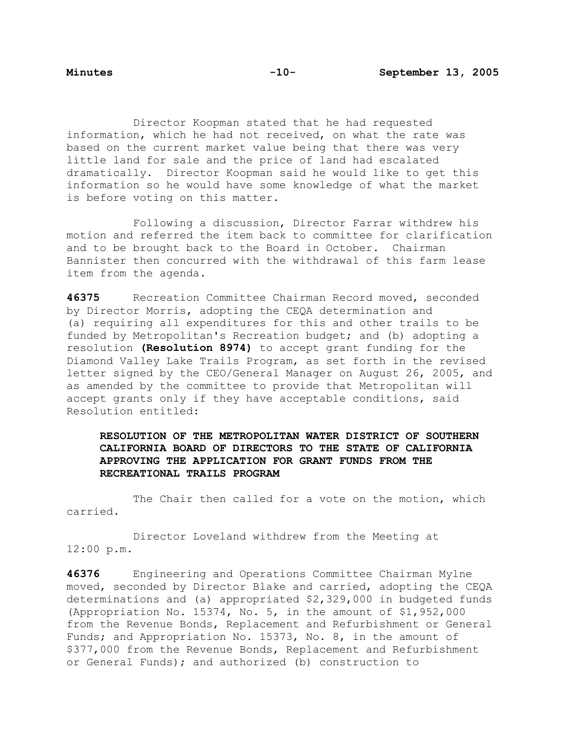Director Koopman stated that he had requested information, which he had not received, on what the rate was based on the current market value being that there was very little land for sale and the price of land had escalated dramatically. Director Koopman said he would like to get this information so he would have some knowledge of what the market is before voting on this matter.

 Following a discussion, Director Farrar withdrew his motion and referred the item back to committee for clarification and to be brought back to the Board in October. Chairman Bannister then concurred with the withdrawal of this farm lease item from the agenda.

**46375** Recreation Committee Chairman Record moved, seconded by Director Morris, adopting the CEQA determination and (a) requiring all expenditures for this and other trails to be funded by Metropolitan's Recreation budget; and (b) adopting a resolution **(Resolution 8974)** to accept grant funding for the Diamond Valley Lake Trails Program, as set forth in the revised letter signed by the CEO/General Manager on August 26, 2005, and as amended by the committee to provide that Metropolitan will accept grants only if they have acceptable conditions, said Resolution entitled:

# **RESOLUTION OF THE METROPOLITAN WATER DISTRICT OF SOUTHERN CALIFORNIA BOARD OF DIRECTORS TO THE STATE OF CALIFORNIA APPROVING THE APPLICATION FOR GRANT FUNDS FROM THE RECREATIONAL TRAILS PROGRAM**

The Chair then called for a vote on the motion, which carried.

 Director Loveland withdrew from the Meeting at 12:00 p.m.

**46376** Engineering and Operations Committee Chairman Mylne moved, seconded by Director Blake and carried, adopting the CEQA determinations and (a) appropriated \$2,329,000 in budgeted funds (Appropriation No. 15374, No. 5, in the amount of \$1,952,000 from the Revenue Bonds, Replacement and Refurbishment or General Funds; and Appropriation No. 15373, No. 8, in the amount of \$377,000 from the Revenue Bonds, Replacement and Refurbishment or General Funds); and authorized (b) construction to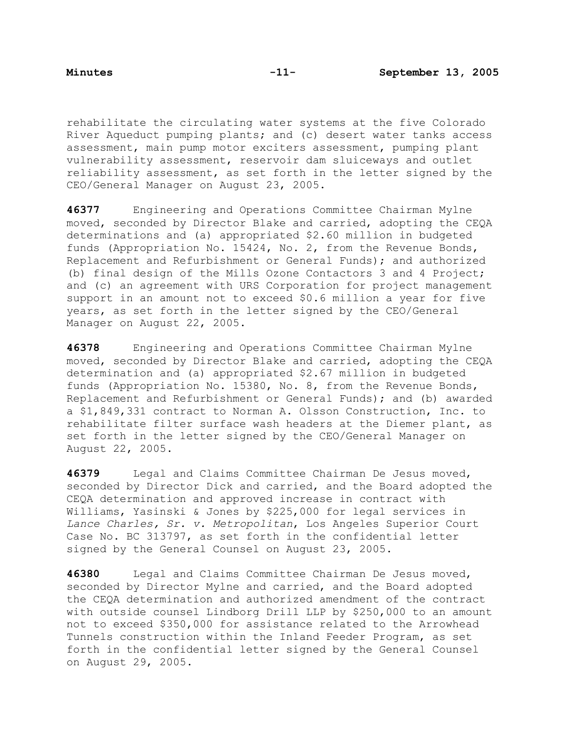rehabilitate the circulating water systems at the five Colorado River Aqueduct pumping plants; and (c) desert water tanks access assessment, main pump motor exciters assessment, pumping plant vulnerability assessment, reservoir dam sluiceways and outlet reliability assessment, as set forth in the letter signed by the CEO/General Manager on August 23, 2005.

**46377** Engineering and Operations Committee Chairman Mylne moved, seconded by Director Blake and carried, adopting the CEQA determinations and (a) appropriated \$2.60 million in budgeted funds (Appropriation No. 15424, No. 2, from the Revenue Bonds, Replacement and Refurbishment or General Funds); and authorized (b) final design of the Mills Ozone Contactors 3 and 4 Project; and (c) an agreement with URS Corporation for project management support in an amount not to exceed \$0.6 million a year for five years, as set forth in the letter signed by the CEO/General Manager on August 22, 2005.

**46378** Engineering and Operations Committee Chairman Mylne moved, seconded by Director Blake and carried, adopting the CEQA determination and (a) appropriated \$2.67 million in budgeted funds (Appropriation No. 15380, No. 8, from the Revenue Bonds, Replacement and Refurbishment or General Funds); and (b) awarded a \$1,849,331 contract to Norman A. Olsson Construction, Inc. to rehabilitate filter surface wash headers at the Diemer plant, as set forth in the letter signed by the CEO/General Manager on August 22, 2005.

**46379** Legal and Claims Committee Chairman De Jesus moved, seconded by Director Dick and carried, and the Board adopted the CEQA determination and approved increase in contract with Williams, Yasinski & Jones by \$225,000 for legal services in *Lance Charles, Sr. v. Metropolitan*, Los Angeles Superior Court Case No. BC 313797, as set forth in the confidential letter signed by the General Counsel on August 23, 2005.

**46380** Legal and Claims Committee Chairman De Jesus moved, seconded by Director Mylne and carried, and the Board adopted the CEQA determination and authorized amendment of the contract with outside counsel Lindborg Drill LLP by \$250,000 to an amount not to exceed \$350,000 for assistance related to the Arrowhead Tunnels construction within the Inland Feeder Program, as set forth in the confidential letter signed by the General Counsel on August 29, 2005.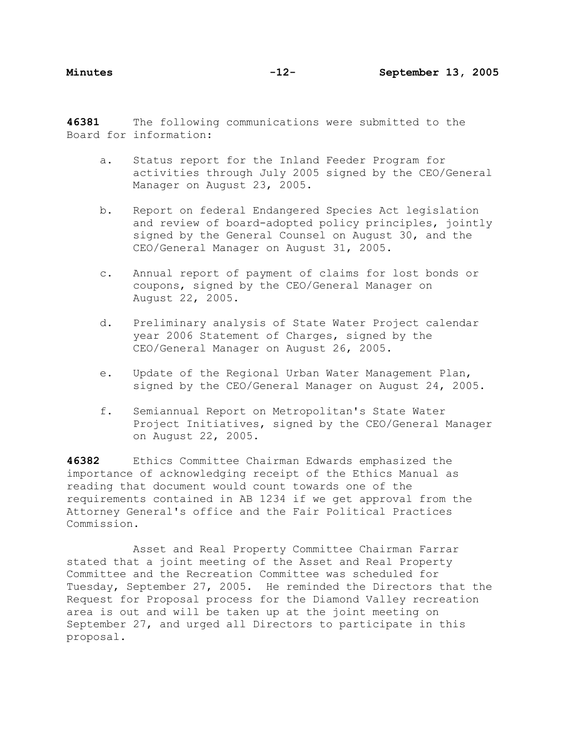**46381** The following communications were submitted to the Board for information:

- a. Status report for the Inland Feeder Program for activities through July 2005 signed by the CEO/General Manager on August 23, 2005.
- b. Report on federal Endangered Species Act legislation and review of board-adopted policy principles, jointly signed by the General Counsel on August 30, and the CEO/General Manager on August 31, 2005.
- c. Annual report of payment of claims for lost bonds or coupons, signed by the CEO/General Manager on August 22, 2005.
- d. Preliminary analysis of State Water Project calendar year 2006 Statement of Charges, signed by the CEO/General Manager on August 26, 2005.
- e. Update of the Regional Urban Water Management Plan, signed by the CEO/General Manager on August 24, 2005.
- f. Semiannual Report on Metropolitan's State Water Project Initiatives, signed by the CEO/General Manager on August 22, 2005.

**46382** Ethics Committee Chairman Edwards emphasized the importance of acknowledging receipt of the Ethics Manual as reading that document would count towards one of the requirements contained in AB 1234 if we get approval from the Attorney General's office and the Fair Political Practices Commission.

 Asset and Real Property Committee Chairman Farrar stated that a joint meeting of the Asset and Real Property Committee and the Recreation Committee was scheduled for Tuesday, September 27, 2005. He reminded the Directors that the Request for Proposal process for the Diamond Valley recreation area is out and will be taken up at the joint meeting on September 27, and urged all Directors to participate in this proposal.